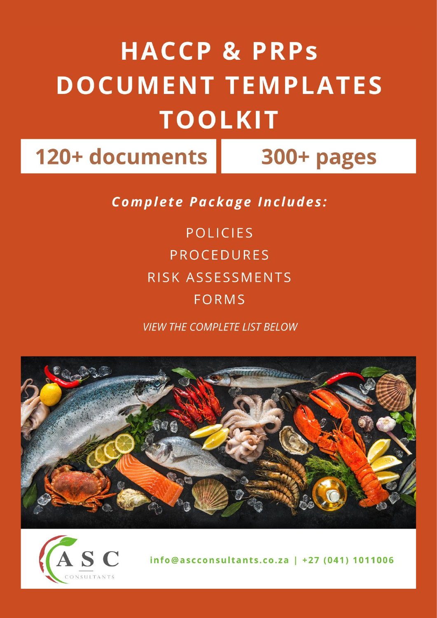## **HACCP & PRPS DOCUMENT TEMPLATES TOOLKIT**

120+ documents

300+ pages

**Complete Package Includes:** 

**POLICIES PROCEDURES RISK ASSESSMENTS FORMS** 

**VIEW THE COMPLETE LIST BELOW** 





info@ascconsultants.co.za | +27 (041) 1011006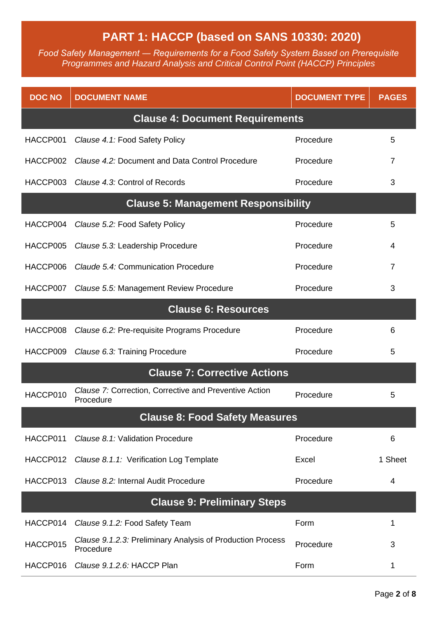## **PART 1: HACCP (based on SANS 10330: 2020)**

*Food Safety Management ― Requirements for a Food Safety System Based on Prerequisite Programmes and Hazard Analysis and Critical Control Point (HACCP) Principles*

| <b>DOC NO</b>                         | <b>DOCUMENT NAME</b>                                                    | <b>DOCUMENT TYPE</b> | <b>PAGES</b> |  |
|---------------------------------------|-------------------------------------------------------------------------|----------------------|--------------|--|
|                                       | <b>Clause 4: Document Requirements</b>                                  |                      |              |  |
| HACCP001                              | Clause 4.1: Food Safety Policy                                          | Procedure            | 5            |  |
| HACCP002                              | Clause 4.2: Document and Data Control Procedure                         | Procedure            | 7            |  |
| HACCP003                              | Clause 4.3: Control of Records                                          | Procedure            | 3            |  |
|                                       | <b>Clause 5: Management Responsibility</b>                              |                      |              |  |
| HACCP004                              | Clause 5.2: Food Safety Policy                                          | Procedure            | 5            |  |
| HACCP005                              | Clause 5.3: Leadership Procedure                                        | Procedure            | 4            |  |
| HACCP006                              | Claude 5.4: Communication Procedure                                     | Procedure            | 7            |  |
| HACCP007                              | Clause 5.5: Management Review Procedure                                 | Procedure            | 3            |  |
|                                       | <b>Clause 6: Resources</b>                                              |                      |              |  |
| HACCP008                              | Clause 6.2: Pre-requisite Programs Procedure                            | Procedure            | 6            |  |
| HACCP009                              | Clause 6.3: Training Procedure                                          | Procedure            | 5            |  |
|                                       | <b>Clause 7: Corrective Actions</b>                                     |                      |              |  |
| HACCP010                              | Clause 7: Correction, Corrective and Preventive Action<br>Procedure     | Procedure            | 5            |  |
| <b>Clause 8: Food Safety Measures</b> |                                                                         |                      |              |  |
| HACCP011                              | Clause 8.1: Validation Procedure                                        | Procedure            | 6            |  |
| HACCP012                              | Clause 8.1.1: Verification Log Template                                 | Excel                | 1 Sheet      |  |
| HACCP013                              | Clause 8.2: Internal Audit Procedure                                    | Procedure            | 4            |  |
| <b>Clause 9: Preliminary Steps</b>    |                                                                         |                      |              |  |
| HACCP014                              | Clause 9.1.2: Food Safety Team                                          | Form                 | 1            |  |
| HACCP015                              | Clause 9.1.2.3: Preliminary Analysis of Production Process<br>Procedure | Procedure            | 3            |  |
| HACCP016                              | Clause 9.1.2.6: HACCP Plan                                              | Form                 | 1            |  |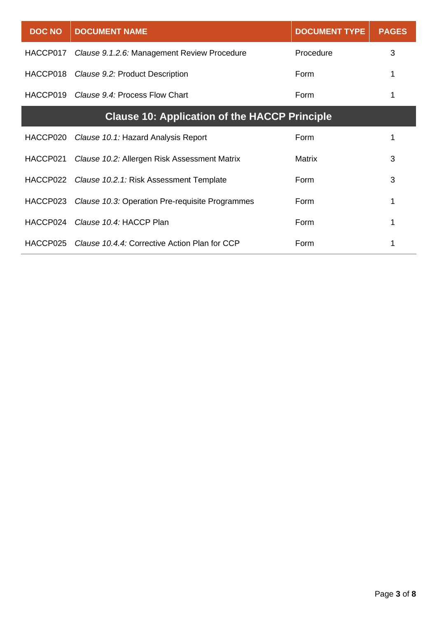| <b>DOC NO</b>                                        | <b>DOCUMENT NAME</b>                             | <b>DOCUMENT TYPE</b> | <b>PAGES</b> |
|------------------------------------------------------|--------------------------------------------------|----------------------|--------------|
| HACCP017                                             | Clause 9.1.2.6: Management Review Procedure      | Procedure            | 3            |
| HACCP018                                             | Clause 9.2: Product Description                  | Form                 |              |
| HACCP019                                             | Clause 9.4: Process Flow Chart                   | Form                 |              |
| <b>Clause 10: Application of the HACCP Principle</b> |                                                  |                      |              |
| HACCP020                                             | Clause 10.1: Hazard Analysis Report              | Form                 |              |
| HACCP021                                             | Clause 10.2: Allergen Risk Assessment Matrix     | Matrix               | 3            |
|                                                      | HACCP022 Clause 10.2.1: Risk Assessment Template | Form                 | 3            |
| HACCP023                                             | Clause 10.3: Operation Pre-requisite Programmes  | Form                 | 1            |
| HACCP024                                             | Clause 10.4: HACCP Plan                          | Form                 |              |
| HACCP025                                             | Clause 10.4.4: Corrective Action Plan for CCP    | Form                 |              |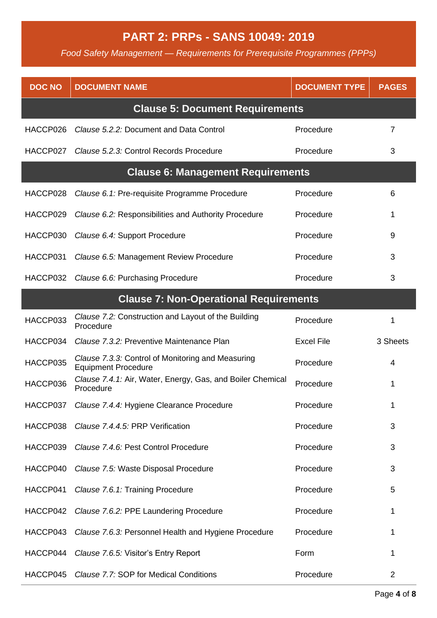## **PART 2: PRPs - SANS 10049: 2019**

*Food Safety Management — Requirements for Prerequisite Programmes (PPPs)*

| <b>DOC NO</b> | <b>DOCUMENT NAME</b>                                                            | <b>DOCUMENT TYPE</b> | <b>PAGES</b> |
|---------------|---------------------------------------------------------------------------------|----------------------|--------------|
|               | <b>Clause 5: Document Requirements</b>                                          |                      |              |
| HACCP026      | Clause 5.2.2: Document and Data Control                                         | Procedure            | 7            |
| HACCP027      | Clause 5.2.3: Control Records Procedure                                         | Procedure            | 3            |
|               | <b>Clause 6: Management Requirements</b>                                        |                      |              |
| HACCP028      | Clause 6.1: Pre-requisite Programme Procedure                                   | Procedure            | 6            |
| HACCP029      | Clause 6.2: Responsibilities and Authority Procedure                            | Procedure            | 1            |
| HACCP030      | Clause 6.4: Support Procedure                                                   | Procedure            | 9            |
| HACCP031      | Clause 6.5: Management Review Procedure                                         | Procedure            | 3            |
| HACCP032      | Clause 6.6: Purchasing Procedure                                                | Procedure            | 3            |
|               | <b>Clause 7: Non-Operational Requirements</b>                                   |                      |              |
| HACCP033      | Clause 7.2: Construction and Layout of the Building<br>Procedure                | Procedure            | 1            |
| HACCP034      | Clause 7.3.2: Preventive Maintenance Plan                                       | <b>Excel File</b>    | 3 Sheets     |
| HACCP035      | Clause 7.3.3: Control of Monitoring and Measuring<br><b>Equipment Procedure</b> | Procedure            | 4            |
| HACCP036      | Clause 7.4.1: Air, Water, Energy, Gas, and Boiler Chemical<br>Procedure         | Procedure            | 1            |
|               | HACCP037 Clause 7.4.4: Hygiene Clearance Procedure                              | Procedure            |              |
| HACCP038      | Clause 7.4.4.5: PRP Verification                                                | Procedure            | 3            |
| HACCP039      | Clause 7.4.6: Pest Control Procedure                                            | Procedure            | 3            |
| HACCP040      | Clause 7.5: Waste Disposal Procedure                                            | Procedure            | 3            |
| HACCP041      | Clause 7.6.1: Training Procedure                                                | Procedure            | 5            |
| HACCP042      | Clause 7.6.2: PPE Laundering Procedure                                          | Procedure            | 1            |
| HACCP043      | Clause 7.6.3: Personnel Health and Hygiene Procedure                            | Procedure            | 1            |
| HACCP044      | Clause 7.6.5: Visitor's Entry Report                                            | Form                 | 1            |
| HACCP045      | Clause 7.7: SOP for Medical Conditions                                          | Procedure            | 2            |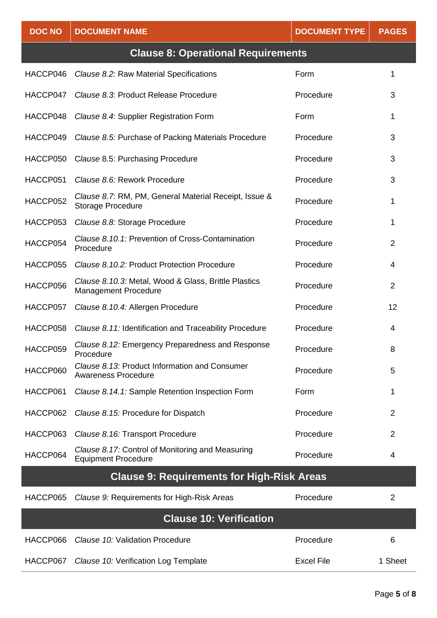| <b>DOC NO</b>                                     | <b>DOCUMENT NAME</b>                                                                | <b>DOCUMENT TYPE</b> | <b>PAGES</b>   |
|---------------------------------------------------|-------------------------------------------------------------------------------------|----------------------|----------------|
|                                                   | <b>Clause 8: Operational Requirements</b>                                           |                      |                |
| HACCP046                                          | Clause 8.2: Raw Material Specifications                                             | Form                 | 1              |
| HACCP047                                          | Clause 8.3: Product Release Procedure                                               | Procedure            | 3              |
| HACCP048                                          | Clause 8.4: Supplier Registration Form                                              | Form                 | 1              |
| HACCP049                                          | Clause 8.5: Purchase of Packing Materials Procedure                                 | Procedure            | 3              |
| HACCP050                                          | Clause 8.5: Purchasing Procedure                                                    | Procedure            | 3              |
| HACCP051                                          | Clause 8.6: Rework Procedure                                                        | Procedure            | 3              |
| HACCP052                                          | Clause 8.7: RM, PM, General Material Receipt, Issue &<br><b>Storage Procedure</b>   | Procedure            | 1              |
| HACCP053                                          | Clause 8.8: Storage Procedure                                                       | Procedure            | 1              |
| HACCP054                                          | Clause 8.10.1: Prevention of Cross-Contamination<br>Procedure                       | Procedure            | $\overline{2}$ |
| HACCP055                                          | Clause 8.10.2: Product Protection Procedure                                         | Procedure            | 4              |
| HACCP056                                          | Clause 8.10.3: Metal, Wood & Glass, Brittle Plastics<br><b>Management Procedure</b> | Procedure            | $\overline{2}$ |
| HACCP057                                          | Clause 8.10.4: Allergen Procedure                                                   | Procedure            | 12             |
| HACCP058                                          | Clause 8.11: Identification and Traceability Procedure                              | Procedure            | 4              |
| HACCP059                                          | Clause 8.12: Emergency Preparedness and Response<br>Procedure                       | Procedure            | 8              |
| HACCP060                                          | Clause 8.13: Product Information and Consumer<br><b>Awareness Procedure</b>         | Procedure            | 5              |
| HACCP061                                          | Clause 8.14.1: Sample Retention Inspection Form                                     | Form                 | 1              |
| HACCP062                                          | Clause 8.15: Procedure for Dispatch                                                 | Procedure            | 2              |
| HACCP063                                          | Clause 8.16: Transport Procedure                                                    | Procedure            | 2              |
| HACCP064                                          | Clause 8.17: Control of Monitoring and Measuring<br><b>Equipment Procedure</b>      | Procedure            | 4              |
| <b>Clause 9: Requirements for High-Risk Areas</b> |                                                                                     |                      |                |
| HACCP065                                          | Clause 9: Requirements for High-Risk Areas                                          | Procedure            | $\overline{2}$ |
| <b>Clause 10: Verification</b>                    |                                                                                     |                      |                |
| HACCP066                                          | Clause 10: Validation Procedure                                                     | Procedure            | 6              |
| HACCP067                                          | Clause 10: Verification Log Template                                                | <b>Excel File</b>    | 1 Sheet        |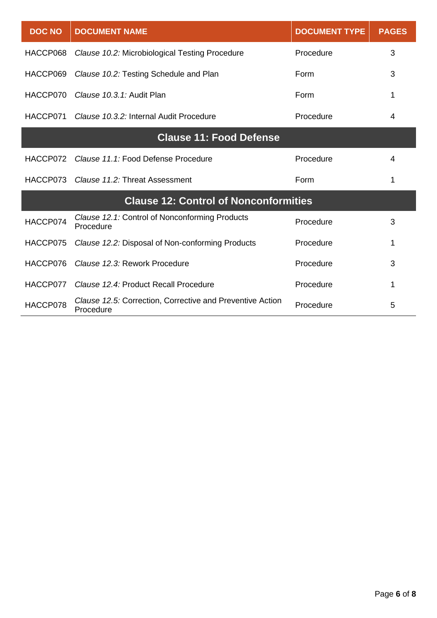| <b>DOC NO</b>                                | <b>DOCUMENT NAME</b>                                                   | <b>DOCUMENT TYPE</b> | <b>PAGES</b> |  |
|----------------------------------------------|------------------------------------------------------------------------|----------------------|--------------|--|
| HACCP068                                     | Clause 10.2: Microbiological Testing Procedure                         | Procedure            | 3            |  |
| HACCP069                                     | Clause 10.2: Testing Schedule and Plan                                 | Form                 | 3            |  |
| HACCP070                                     | Clause 10.3.1: Audit Plan                                              | Form                 | 1            |  |
| HACCP071                                     | Clause 10.3.2: Internal Audit Procedure                                | Procedure            | 4            |  |
| <b>Clause 11: Food Defense</b>               |                                                                        |                      |              |  |
| HACCP072                                     | Clause 11.1: Food Defense Procedure                                    | Procedure            | 4            |  |
| HACCP073                                     | Clause 11.2: Threat Assessment                                         | Form                 | 1            |  |
| <b>Clause 12: Control of Nonconformities</b> |                                                                        |                      |              |  |
| HACCP074                                     | Clause 12.1: Control of Nonconforming Products<br>Procedure            | Procedure            | 3            |  |
| HACCP075                                     | Clause 12.2: Disposal of Non-conforming Products                       | Procedure            | 1            |  |
| HACCP076                                     | Clause 12.3: Rework Procedure                                          | Procedure            | 3            |  |
| HACCP077                                     | Clause 12.4: Product Recall Procedure                                  | Procedure            | 1            |  |
| HACCP078                                     | Clause 12.5: Correction, Corrective and Preventive Action<br>Procedure | Procedure            | 5            |  |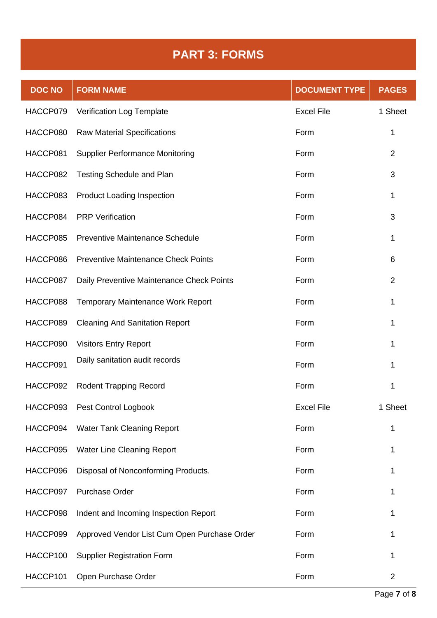## **PART 3: FORMS**

| <b>DOC NO</b> | <b>FORM NAME</b>                             | <b>DOCUMENT TYPE</b> | <b>PAGES</b>   |
|---------------|----------------------------------------------|----------------------|----------------|
| HACCP079      | Verification Log Template                    | <b>Excel File</b>    | 1 Sheet        |
| HACCP080      | <b>Raw Material Specifications</b>           | Form                 | 1              |
| HACCP081      | <b>Supplier Performance Monitoring</b>       | Form                 | $\overline{2}$ |
| HACCP082      | <b>Testing Schedule and Plan</b>             | Form                 | 3              |
| HACCP083      | <b>Product Loading Inspection</b>            | Form                 | 1              |
| HACCP084      | <b>PRP Verification</b>                      | Form                 | 3              |
| HACCP085      | <b>Preventive Maintenance Schedule</b>       | Form                 | 1              |
| HACCP086      | <b>Preventive Maintenance Check Points</b>   | Form                 | 6              |
| HACCP087      | Daily Preventive Maintenance Check Points    | Form                 | $\overline{2}$ |
| HACCP088      | <b>Temporary Maintenance Work Report</b>     | Form                 | 1              |
| HACCP089      | <b>Cleaning And Sanitation Report</b>        | Form                 | 1              |
| HACCP090      | <b>Visitors Entry Report</b>                 | Form                 | 1              |
| HACCP091      | Daily sanitation audit records               | Form                 |                |
| HACCP092      | <b>Rodent Trapping Record</b>                | Form                 | 1              |
|               | HACCP093 Pest Control Logbook                | <b>Excel File</b>    | 1 Sheet        |
| HACCP094      | <b>Water Tank Cleaning Report</b>            | Form                 | 1              |
| HACCP095      | <b>Water Line Cleaning Report</b>            | Form                 | 1              |
| HACCP096      | Disposal of Nonconforming Products.          | Form                 |                |
| HACCP097      | <b>Purchase Order</b>                        | Form                 |                |
| HACCP098      | Indent and Incoming Inspection Report        | Form                 | 1              |
| HACCP099      | Approved Vendor List Cum Open Purchase Order | Form                 | 1              |
| HACCP100      | <b>Supplier Registration Form</b>            | Form                 | 1              |
| HACCP101      | Open Purchase Order                          | Form                 | $\overline{2}$ |